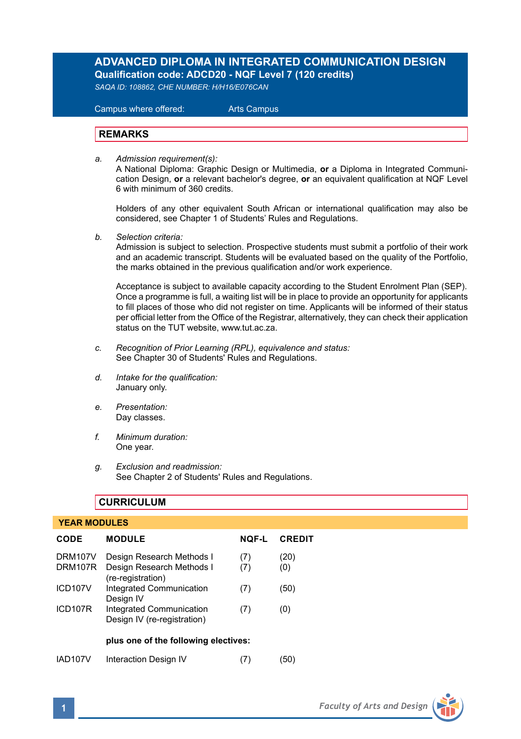# **ADVANCED DIPLOMA IN INTEGRATED COMMUNICATION DESIGN Qualification code: ADCD20 - NQF Level 7 (120 credits)**

*SAQA ID: 108862, CHE NUMBER: H/H16/E076CAN* 

 Campus where offered: Arts Campus

## **REMARKS**

*a. Admission requirement(s):* 

A National Diploma: Graphic Design or Multimedia, **or** a Diploma in Integrated Communication Design, **or** a relevant bachelor's degree, **or** an equivalent qualification at NQF Level 6 with minimum of 360 credits.

Holders of any other equivalent South African or international qualification may also be considered, see Chapter 1 of Students' Rules and Regulations.

*b. Selection criteria:*

Admission is subject to selection. Prospective students must submit a portfolio of their work and an academic transcript. Students will be evaluated based on the quality of the Portfolio, the marks obtained in the previous qualification and/or work experience.

 Acceptance is subject to available capacity according to the Student Enrolment Plan (SEP). Once a programme is full, a waiting list will be in place to provide an opportunity for applicants to fill places of those who did not register on time. Applicants will be informed of their status per official letter from the Office of the Registrar, alternatively, they can check their application status on the TUT website, www.tut.ac.za.

- *c. Recognition of Prior Learning (RPL), equivalence and status:* See Chapter 30 of Students' Rules and Regulations.
- *d. Intake for the qualification:* January only.
- *e. Presentation:* Day classes.
- *f. Minimum duration:* One year.
- *g. Exclusion and readmission:* See Chapter 2 of Students' Rules and Regulations.

# **CURRICULUM**

#### **YEAR MODULES**

| CODE                 | <b>MODULE</b>                                           | <b>NOF-L</b> | <b>CREDIT</b> |
|----------------------|---------------------------------------------------------|--------------|---------------|
| DRM107V              | Design Research Methods I                               | (7)          | (20)          |
| DRM107R              | Design Research Methods I<br>(re-registration)          | (7)          | (0)           |
| ICD <sub>107V</sub>  | Integrated Communication<br>Design IV                   | (7)          | (50)          |
| ICD <sub>107R</sub>  | Integrated Communication<br>Design IV (re-registration) | (7)          | (0)           |
|                      | plus one of the following electives:                    |              |               |
| IAD <sub>107</sub> V | Interaction Design IV                                   |              | '50'          |

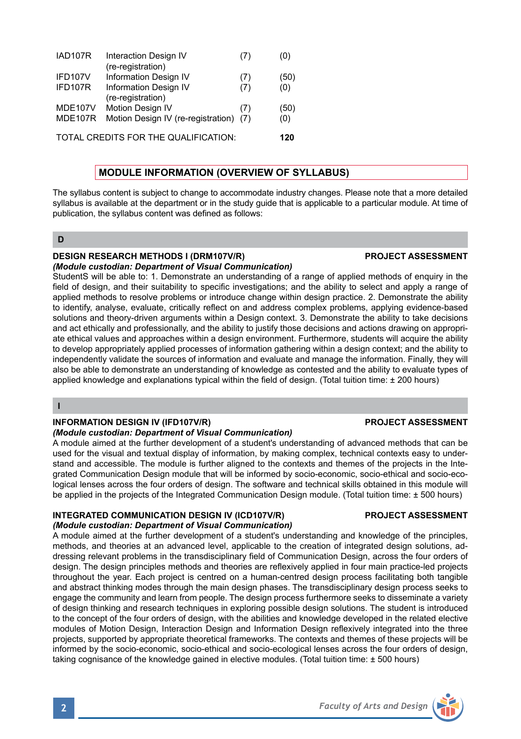| <b>MDE107V</b> | (re-registration)<br>Motion Design IV                                          | (7) | (50)       |
|----------------|--------------------------------------------------------------------------------|-----|------------|
| MDE107R        | Motion Design IV (re-registration) (7)<br>TOTAL CREDITS FOR THE QUALIFICATION: |     | (0)<br>120 |

## **MODULE INFORMATION (OVERVIEW OF SYLLABUS)**

The syllabus content is subject to change to accommodate industry changes. Please note that a more detailed syllabus is available at the department or in the study guide that is applicable to a particular module. At time of publication, the syllabus content was defined as follows:

## **D**

## **DESIGN RESEARCH METHODS I (DRM107V/R) PROJECT ASSESSMENT**

#### *(Module custodian: Department of Visual Communication)*

StudentS will be able to: 1. Demonstrate an understanding of a range of applied methods of enquiry in the field of design, and their suitability to specific investigations; and the ability to select and apply a range of applied methods to resolve problems or introduce change within design practice. 2. Demonstrate the ability to identify, analyse, evaluate, critically reflect on and address complex problems, applying evidence-based solutions and theory-driven arguments within a Design context. 3. Demonstrate the ability to take decisions and act ethically and professionally, and the ability to justify those decisions and actions drawing on appropriate ethical values and approaches within a design environment. Furthermore, students will acquire the ability to develop appropriately applied processes of information gathering within a design context; and the ability to independently validate the sources of information and evaluate and manage the information. Finally, they will also be able to demonstrate an understanding of knowledge as contested and the ability to evaluate types of applied knowledge and explanations typical within the field of design. (Total tuition time: ± 200 hours)

### **I**

#### **INFORMATION DESIGN IV (IFD107V/R) PROJECT ASSESSMENT**

#### *(Module custodian: Department of Visual Communication)*

A module aimed at the further development of a student's understanding of advanced methods that can be used for the visual and textual display of information, by making complex, technical contexts easy to understand and accessible. The module is further aligned to the contexts and themes of the projects in the Integrated Communication Design module that will be informed by socio-economic, socio-ethical and socio-ecological lenses across the four orders of design. The software and technical skills obtained in this module will be applied in the projects of the Integrated Communication Design module. (Total tuition time: ± 500 hours)

## **INTEGRATED COMMUNICATION DESIGN IV (ICD107V/R) PROJECT ASSESSMENT**

## *(Module custodian: Department of Visual Communication)*

A module aimed at the further development of a student's understanding and knowledge of the principles, methods, and theories at an advanced level, applicable to the creation of integrated design solutions, addressing relevant problems in the transdisciplinary field of Communication Design, across the four orders of design. The design principles methods and theories are reflexively applied in four main practice-led projects throughout the year. Each project is centred on a human-centred design process facilitating both tangible and abstract thinking modes through the main design phases. The transdisciplinary design process seeks to engage the community and learn from people. The design process furthermore seeks to disseminate a variety of design thinking and research techniques in exploring possible design solutions. The student is introduced to the concept of the four orders of design, with the abilities and knowledge developed in the related elective modules of Motion Design, Interaction Design and Information Design reflexively integrated into the three projects, supported by appropriate theoretical frameworks. The contexts and themes of these projects will be informed by the socio-economic, socio-ethical and socio-ecological lenses across the four orders of design, taking cognisance of the knowledge gained in elective modules. (Total tuition time: ± 500 hours)